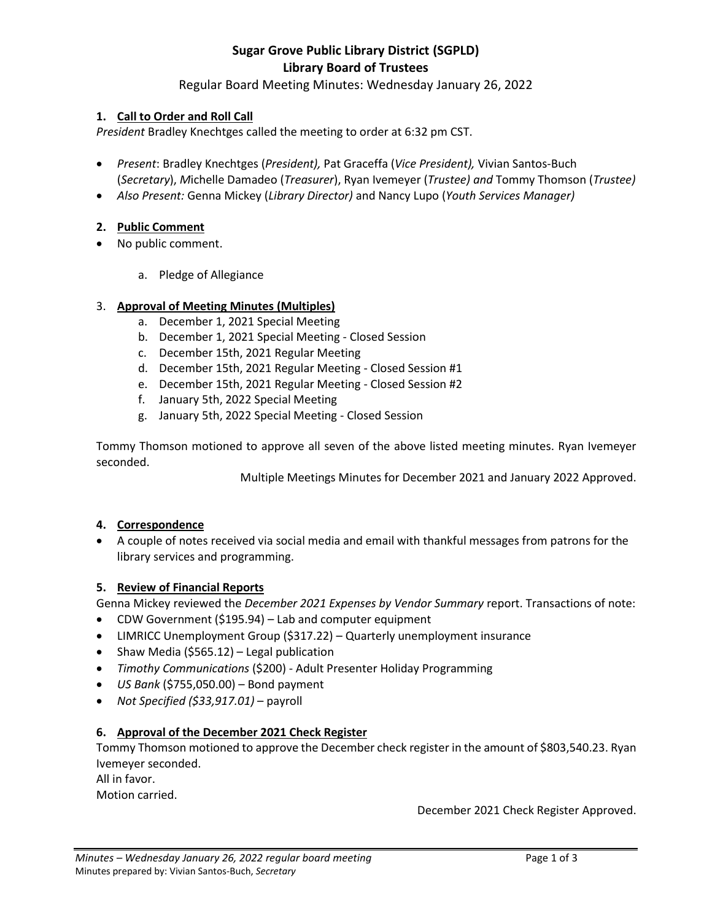# **Sugar Grove Public Library District (SGPLD) Library Board of Trustees**

# Regular Board Meeting Minutes: Wednesday January 26, 2022

# **1. Call to Order and Roll Call**

*President* Bradley Knechtges called the meeting to order at 6:32 pm CST.

- *Present*: Bradley Knechtges (*President),* Pat Graceffa (*Vice President),* Vivian Santos-Buch (*Secretary*), *M*ichelle Damadeo (*Treasurer*), Ryan Ivemeyer (*Trustee) and* Tommy Thomson (*Trustee)*
- *Also Present:* Genna Mickey (*Library Director)* and Nancy Lupo (*Youth Services Manager)*

# **2. Public Comment**

- No public comment.
	- a. Pledge of Allegiance

# 3. **Approval of Meeting Minutes (Multiples)**

- a. December 1, 2021 Special Meeting
- b. December 1, 2021 Special Meeting Closed Session
- c. December 15th, 2021 Regular Meeting
- d. December 15th, 2021 Regular Meeting Closed Session #1
- e. December 15th, 2021 Regular Meeting Closed Session #2
- f. January 5th, 2022 Special Meeting
- g. January 5th, 2022 Special Meeting Closed Session

Tommy Thomson motioned to approve all seven of the above listed meeting minutes. Ryan Ivemeyer seconded.

Multiple Meetings Minutes for December 2021 and January 2022 Approved.

# **4. Correspondence**

 A couple of notes received via social media and email with thankful messages from patrons for the library services and programming.

# **5. Review of Financial Reports**

Genna Mickey reviewed the *December 2021 Expenses by Vendor Summary* report. Transactions of note:

- CDW Government (\$195.94) Lab and computer equipment
- LIMRICC Unemployment Group (\$317.22) Quarterly unemployment insurance
- Shaw Media (\$565.12) Legal publication
- *Timothy Communications* (\$200) Adult Presenter Holiday Programming
- *US Bank* (\$755,050.00) Bond payment
- *Not Specified (\$33,917.01)*  payroll

# **6. Approval of the December 2021 Check Register**

Tommy Thomson motioned to approve the December check register in the amount of \$803,540.23. Ryan Ivemeyer seconded.

All in favor.

Motion carried.

December 2021 Check Register Approved.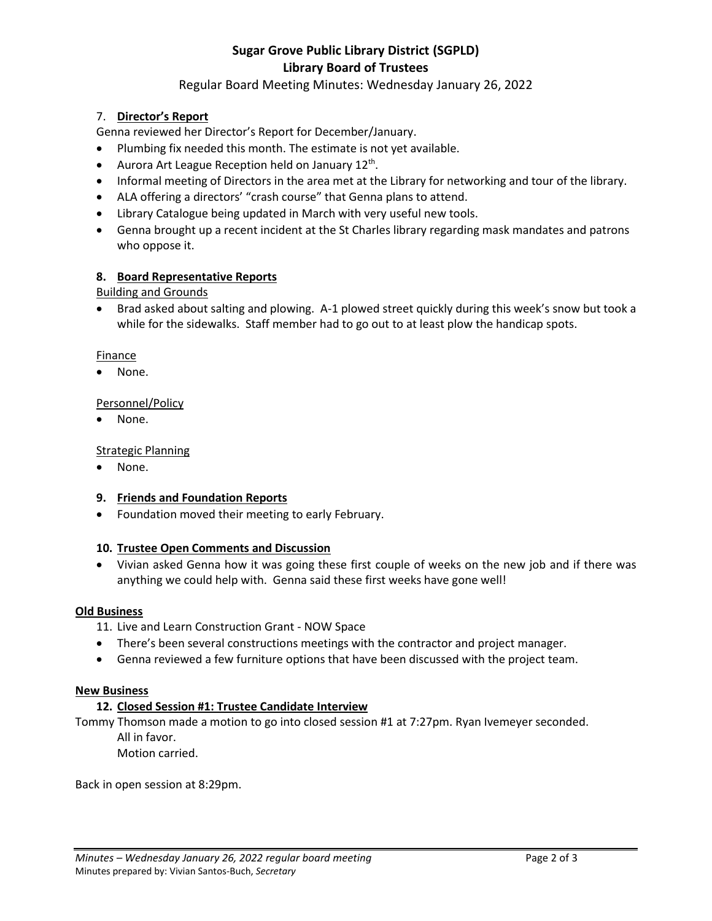# **Sugar Grove Public Library District (SGPLD) Library Board of Trustees**

# Regular Board Meeting Minutes: Wednesday January 26, 2022

# 7. **Director's Report**

Genna reviewed her Director's Report for December/January.

- Plumbing fix needed this month. The estimate is not yet available.
- Aurora Art League Reception held on January 12<sup>th</sup>.
- Informal meeting of Directors in the area met at the Library for networking and tour of the library.
- ALA offering a directors' "crash course" that Genna plans to attend.
- Library Catalogue being updated in March with very useful new tools.
- Genna brought up a recent incident at the St Charles library regarding mask mandates and patrons who oppose it.

# **8. Board Representative Reports**

Building and Grounds

• Brad asked about salting and plowing. A-1 plowed street quickly during this week's snow but took a while for the sidewalks. Staff member had to go out to at least plow the handicap spots.

## Finance

None.

## Personnel/Policy

• None.

## Strategic Planning

• None.

## **9. Friends and Foundation Reports**

• Foundation moved their meeting to early February.

## **10. Trustee Open Comments and Discussion**

 Vivian asked Genna how it was going these first couple of weeks on the new job and if there was anything we could help with. Genna said these first weeks have gone well!

## **Old Business**

- 11. Live and Learn Construction Grant NOW Space
- There's been several constructions meetings with the contractor and project manager.
- Genna reviewed a few furniture options that have been discussed with the project team.

## **New Business**

## **12. Closed Session #1: Trustee Candidate Interview**

Tommy Thomson made a motion to go into closed session #1 at 7:27pm. Ryan Ivemeyer seconded. All in favor.

Motion carried.

Back in open session at 8:29pm.